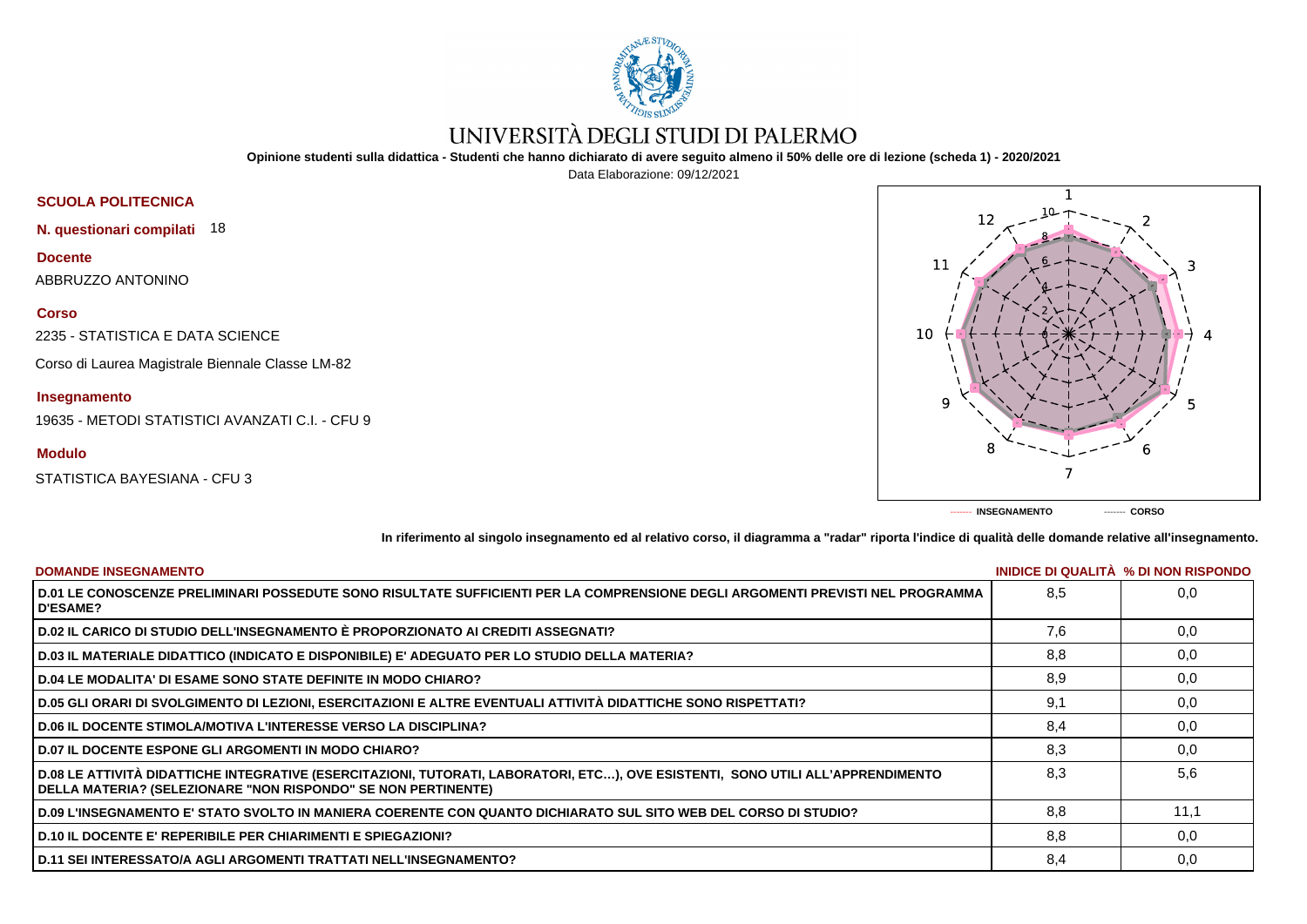

## UNIVERSITÀ DEGLI STUDI DI PALERMO

**Opinione studenti sulla didattica - Studenti che hanno dichiarato di avere seguito almeno il 50% delle ore di lezione (scheda 1) - 2020/2021**

Data Elaborazione: 09/12/2021



**------- INSEGNAMENTO ------- CORSO**

**In riferimento al singolo insegnamento ed al relativo corso, il diagramma a "radar" riporta l'indice di qualità delle domande relative all'insegnamento.**

| <b>DOMANDE INSEGNAMENTO</b>                                                                                                                                                                       |     | <b>INIDICE DI QUALITA % DI NON RISPONDO</b> |
|---------------------------------------------------------------------------------------------------------------------------------------------------------------------------------------------------|-----|---------------------------------------------|
| D.01 LE CONOSCENZE PRELIMINARI POSSEDUTE SONO RISULTATE SUFFICIENTI PER LA COMPRENSIONE DEGLI ARGOMENTI PREVISTI NEL PROGRAMMA<br><b>D'ESAME?</b>                                                 | 8,5 | 0.0                                         |
| D.02 IL CARICO DI STUDIO DELL'INSEGNAMENTO È PROPORZIONATO AI CREDITI ASSEGNATI?                                                                                                                  | 7.6 | 0,0                                         |
| D.03 IL MATERIALE DIDATTICO (INDICATO E DISPONIBILE) E' ADEGUATO PER LO STUDIO DELLA MATERIA?                                                                                                     | 8.8 | 0,0                                         |
| ∣ D.04 LE MODALITA' DI ESAME SONO STATE DEFINITE IN MODO CHIARO?                                                                                                                                  | 8,9 | 0,0                                         |
| D.05 GLI ORARI DI SVOLGIMENTO DI LEZIONI, ESERCITAZIONI E ALTRE EVENTUALI ATTIVITÀ DIDATTICHE SONO RISPETTATI?                                                                                    | 9,1 | 0,0                                         |
| D.06 IL DOCENTE STIMOLA/MOTIVA L'INTERESSE VERSO LA DISCIPLINA?                                                                                                                                   | 8,4 | 0,0                                         |
| <b>D.07 IL DOCENTE ESPONE GLI ARGOMENTI IN MODO CHIARO?</b>                                                                                                                                       | 8,3 | 0,0                                         |
| D.08 LE ATTIVITÀ DIDATTICHE INTEGRATIVE (ESERCITAZIONI, TUTORATI, LABORATORI, ETC…), OVE ESISTENTI, SONO UTILI ALL'APPRENDIMENTO<br>DELLA MATERIA? (SELEZIONARE "NON RISPONDO" SE NON PERTINENTE) | 8.3 | 5.6                                         |
| D.09 L'INSEGNAMENTO E' STATO SVOLTO IN MANIERA COERENTE CON QUANTO DICHIARATO SUL SITO WEB DEL CORSO DI STUDIO?                                                                                   | 8,8 | 11.1                                        |
| D.10 IL DOCENTE E' REPERIBILE PER CHIARIMENTI E SPIEGAZIONI?                                                                                                                                      | 8.8 | 0,0                                         |
| ∣ D.11 SEI INTERESSATO/A AGLI ARGOMENTI TRATTATI NELL'INSEGNAMENTO?                                                                                                                               | 8,4 | 0,0                                         |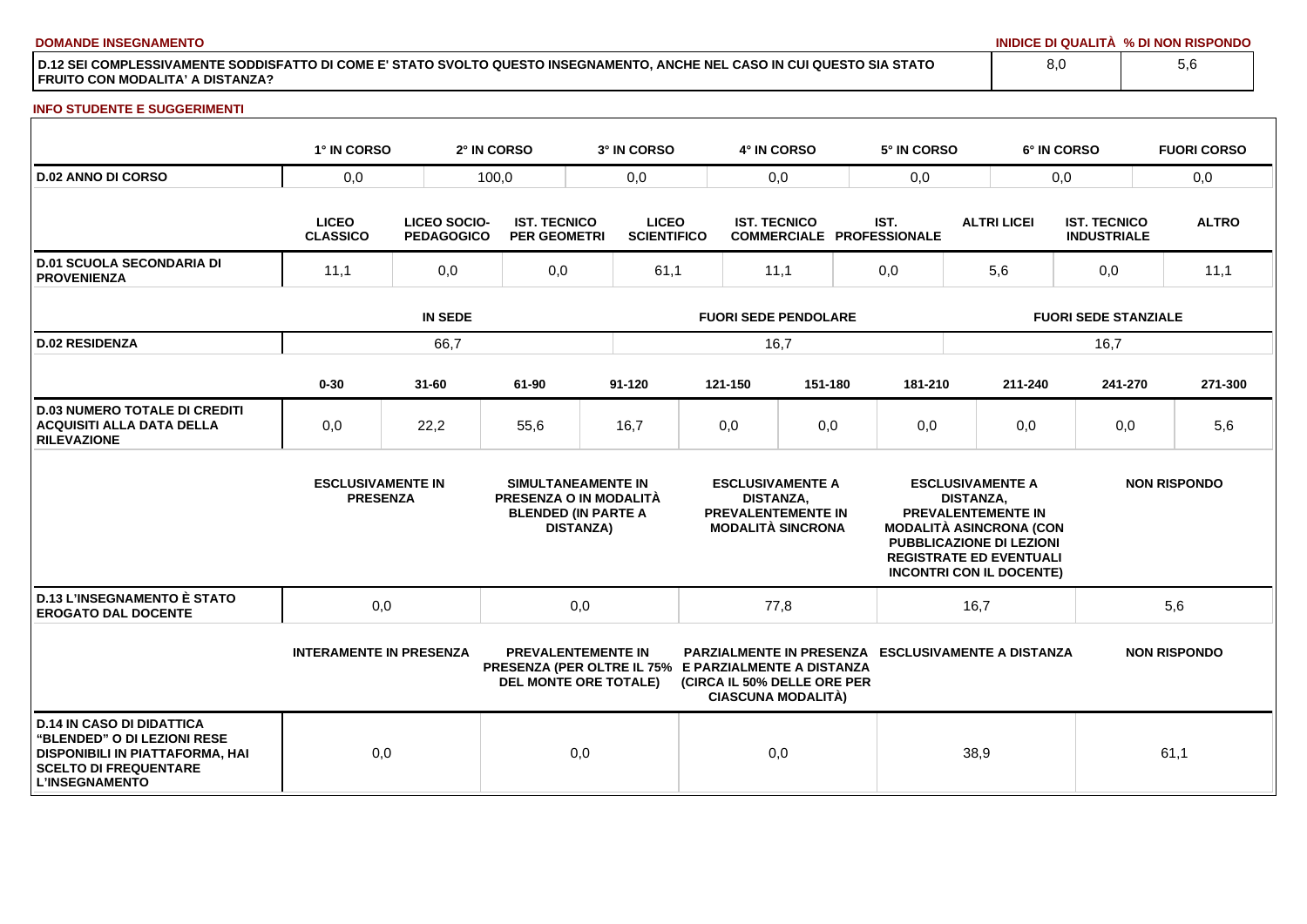**DOMANDE INSEGNAMENTO INIDICE DI QUALITÀ % DI NON RISPONDO**

**D.12 SEI COMPLESSIVAMENTE SODDISFATTO DI COME E' STATO SVOLTO QUESTO INSEGNAMENTO, ANCHE NEL CASO IN CUI QUESTO SIA STATO FRUITO CON MODALITA' A DISTANZA?**

## **INFO STUDENTE E SUGGERIMENTI**

|                                                                                                                                                             | 1° IN CORSO                                 |                                   | 2° IN CORSO                                | 3° IN CORSO                                                                                                       |                                                                                                      | 4° IN CORSO               |                             | 5° IN CORSO                                               |                                                                                                                                                                                                                    |                    | 6° IN CORSO                               | <b>FUORI CORSO</b>  |  |
|-------------------------------------------------------------------------------------------------------------------------------------------------------------|---------------------------------------------|-----------------------------------|--------------------------------------------|-------------------------------------------------------------------------------------------------------------------|------------------------------------------------------------------------------------------------------|---------------------------|-----------------------------|-----------------------------------------------------------|--------------------------------------------------------------------------------------------------------------------------------------------------------------------------------------------------------------------|--------------------|-------------------------------------------|---------------------|--|
| <b>D.02 ANNO DI CORSO</b>                                                                                                                                   | 0,0                                         |                                   | 100,0                                      |                                                                                                                   | 0,0<br>0,0                                                                                           |                           | 0,0                         |                                                           |                                                                                                                                                                                                                    | 0,0                | 0,0                                       |                     |  |
|                                                                                                                                                             | <b>LICEO</b><br><b>CLASSICO</b>             | LICEO SOCIO-<br><b>PEDAGOGICO</b> | <b>IST. TECNICO</b><br><b>PER GEOMETRI</b> | <b>LICEO</b><br><b>SCIENTIFICO</b>                                                                                |                                                                                                      | <b>IST. TECNICO</b>       |                             | IST.<br>COMMERCIALE PROFESSIONALE                         |                                                                                                                                                                                                                    | <b>ALTRI LICEI</b> | <b>IST. TECNICO</b><br><b>INDUSTRIALE</b> | <b>ALTRO</b>        |  |
| <b>D.01 SCUOLA SECONDARIA DI</b><br><b>PROVENIENZA</b>                                                                                                      | 11,1                                        | 0,0                               | 0,0                                        | 61,1                                                                                                              |                                                                                                      |                           | 11,1<br>0,0                 |                                                           | 5,6                                                                                                                                                                                                                |                    | 0,0                                       | 11,1                |  |
|                                                                                                                                                             | <b>IN SEDE</b>                              |                                   |                                            |                                                                                                                   | <b>FUORI SEDE PENDOLARE</b>                                                                          |                           |                             |                                                           | <b>FUORI SEDE STANZIALE</b>                                                                                                                                                                                        |                    |                                           |                     |  |
| <b>D.02 RESIDENZA</b>                                                                                                                                       | 66,7                                        |                                   |                                            |                                                                                                                   | 16,7                                                                                                 |                           |                             |                                                           |                                                                                                                                                                                                                    |                    | 16,7                                      |                     |  |
|                                                                                                                                                             | $0 - 30$                                    | $31 - 60$                         | 61-90                                      | 91-120                                                                                                            |                                                                                                      | 121-150                   | 151-180                     | 181-210                                                   |                                                                                                                                                                                                                    | 211-240            | 241-270                                   | 271-300             |  |
| <b>D.03 NUMERO TOTALE DI CREDITI</b><br><b>ACQUISITI ALLA DATA DELLA</b><br><b>RILEVAZIONE</b>                                                              | 0,0                                         | 22,2                              | 55,6                                       | 16,7                                                                                                              |                                                                                                      | 0,0                       | 0,0                         | 0,0                                                       |                                                                                                                                                                                                                    | 0,0                | 0,0                                       | 5,6                 |  |
|                                                                                                                                                             | <b>ESCLUSIVAMENTE IN</b><br><b>PRESENZA</b> |                                   |                                            | SIMULTANEAMENTE IN<br><b>PRESENZA O IN MODALITÀ</b><br><b>BLENDED (IN PARTE A</b><br><b>DISTANZA)</b>             | <b>ESCLUSIVAMENTE A</b><br><b>DISTANZA,</b><br><b>PREVALENTEMENTE IN</b><br><b>MODALITÀ SINCRONA</b> |                           |                             |                                                           | <b>ESCLUSIVAMENTE A</b><br><b>DISTANZA.</b><br><b>PREVALENTEMENTE IN</b><br><b>MODALITÀ ASINCRONA (CON</b><br><b>PUBBLICAZIONE DI LEZIONI</b><br><b>REGISTRATE ED EVENTUALI</b><br><b>INCONTRI CON IL DOCENTE)</b> |                    |                                           | <b>NON RISPONDO</b> |  |
| <b>D.13 L'INSEGNAMENTO È STATO</b><br><b>EROGATO DAL DOCENTE</b>                                                                                            | 0,0                                         |                                   | 0,0                                        |                                                                                                                   | 77,8                                                                                                 |                           |                             | 16,7                                                      |                                                                                                                                                                                                                    | 5,6                |                                           |                     |  |
|                                                                                                                                                             | <b>INTERAMENTE IN PRESENZA</b>              |                                   |                                            | <b>PREVALENTEMENTE IN</b><br>PRESENZA (PER OLTRE IL 75% E PARZIALMENTE A DISTANZA<br><b>DEL MONTE ORE TOTALE)</b> |                                                                                                      | <b>CIASCUNA MODALITÀ)</b> | (CIRCA IL 50% DELLE ORE PER | <b>PARZIALMENTE IN PRESENZA ESCLUSIVAMENTE A DISTANZA</b> |                                                                                                                                                                                                                    |                    |                                           | <b>NON RISPONDO</b> |  |
| <b>D.14 IN CASO DI DIDATTICA</b><br>"BLENDED" O DI LEZIONI RESE<br>DISPONIBILI IN PIATTAFORMA, HAI<br><b>SCELTO DI FREQUENTARE</b><br><b>L'INSEGNAMENTO</b> | 0,0                                         |                                   |                                            | 0,0                                                                                                               |                                                                                                      | 0,0                       |                             |                                                           | 38,9                                                                                                                                                                                                               |                    |                                           | 61,1                |  |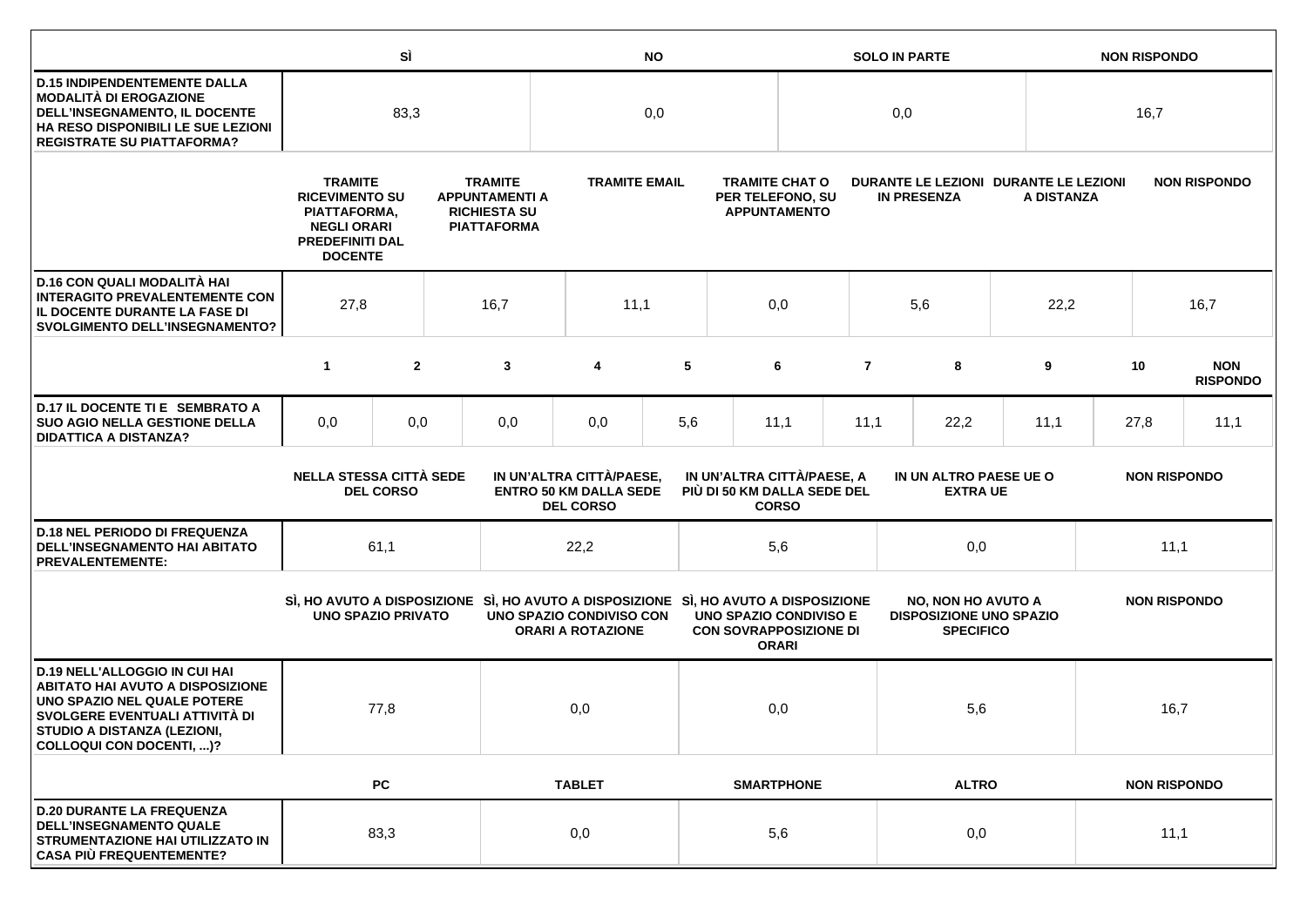|                                                                                                                                                                                                             |                                                                                                                           | SÌ               |                                                                                      | <b>NO</b>                                                                           |                                                                               |     |                                                                  | <b>SOLO IN PARTE</b> |                                                             |                                                                                 |                 | <b>NON RISPONDO</b> |                     |                     |                               |      |  |
|-------------------------------------------------------------------------------------------------------------------------------------------------------------------------------------------------------------|---------------------------------------------------------------------------------------------------------------------------|------------------|--------------------------------------------------------------------------------------|-------------------------------------------------------------------------------------|-------------------------------------------------------------------------------|-----|------------------------------------------------------------------|----------------------|-------------------------------------------------------------|---------------------------------------------------------------------------------|-----------------|---------------------|---------------------|---------------------|-------------------------------|------|--|
| <b>D.15 INDIPENDENTEMENTE DALLA</b><br><b>MODALITÀ DI EROGAZIONE</b><br>DELL'INSEGNAMENTO, IL DOCENTE<br>HA RESO DISPONIBILI LE SUE LEZIONI<br><b>REGISTRATE SU PIATTAFORMA?</b>                            | 83,3                                                                                                                      |                  |                                                                                      | 0,0                                                                                 |                                                                               |     | 0,0                                                              |                      |                                                             |                                                                                 |                 | 16,7                |                     |                     |                               |      |  |
|                                                                                                                                                                                                             | <b>TRAMITE</b><br><b>RICEVIMENTO SU</b><br>PIATTAFORMA,<br><b>NEGLI ORARI</b><br><b>PREDEFINITI DAL</b><br><b>DOCENTE</b> |                  | <b>TRAMITE</b><br><b>APPUNTAMENTI A</b><br><b>RICHIESTA SU</b><br><b>PIATTAFORMA</b> |                                                                                     | <b>TRAMITE EMAIL</b>                                                          |     | <b>TRAMITE CHAT O</b><br>PER TELEFONO, SU<br><b>APPUNTAMENTO</b> |                      | DURANTE LE LEZIONI DURANTE LE LEZIONI<br><b>IN PRESENZA</b> |                                                                                 |                 | A DISTANZA          |                     |                     | <b>NON RISPONDO</b>           |      |  |
| D.16 CON QUALI MODALITÀ HAI<br><b>INTERAGITO PREVALENTEMENTE CON</b><br>IL DOCENTE DURANTE LA FASE DI<br><b>SVOLGIMENTO DELL'INSEGNAMENTO?</b>                                                              | 27,8<br>16,7                                                                                                              |                  |                                                                                      | 11,1                                                                                |                                                                               | 0,0 |                                                                  |                      | 5,6                                                         |                                                                                 | 22,2            | 16,7                |                     |                     |                               |      |  |
|                                                                                                                                                                                                             | $\mathbf{1}$                                                                                                              | $\mathbf{2}$     |                                                                                      | 3                                                                                   | 4                                                                             | 5   |                                                                  | 6                    | $\overline{7}$                                              |                                                                                 | 8               | 9                   |                     | 10                  | <b>NON</b><br><b>RISPONDO</b> |      |  |
| D.17 IL DOCENTE TI E SEMBRATO A<br><b>SUO AGIO NELLA GESTIONE DELLA</b><br><b>DIDATTICA A DISTANZA?</b>                                                                                                     | 0,0                                                                                                                       | 0,0              |                                                                                      | 0,0                                                                                 | 0,0                                                                           | 5,6 |                                                                  | 11,1                 | 11,1                                                        |                                                                                 | 22,2            | 11,1                |                     | 27,8                | 11,1                          |      |  |
|                                                                                                                                                                                                             | <b>NELLA STESSA CITTÀ SEDE</b>                                                                                            | <b>DEL CORSO</b> |                                                                                      |                                                                                     | IN UN'ALTRA CITTÀ/PAESE,<br><b>ENTRO 50 KM DALLA SEDE</b><br><b>DEL CORSO</b> |     | IN UN'ALTRA CITTÀ/PAESE, A<br>PIÙ DI 50 KM DALLA SEDE DEL        | <b>CORSO</b>         |                                                             | IN UN ALTRO PAESE UE O                                                          | <b>EXTRA UE</b> |                     |                     | <b>NON RISPONDO</b> |                               |      |  |
| <b>D.18 NEL PERIODO DI FREQUENZA</b><br><b>DELL'INSEGNAMENTO HAI ABITATO</b><br><b>PREVALENTEMENTE:</b>                                                                                                     |                                                                                                                           | 61,1             |                                                                                      |                                                                                     | 22,2                                                                          |     |                                                                  | 5,6                  |                                                             |                                                                                 | 0,0             |                     |                     |                     |                               | 11,1 |  |
|                                                                                                                                                                                                             | <b>UNO SPAZIO PRIVATO</b>                                                                                                 |                  |                                                                                      | SI, HO AVUTO A DISPOSIZIONE SI, HO AVUTO A DISPOSIZIONE SI, HO AVUTO A DISPOSIZIONE | UNO SPAZIO CONDIVISO CON<br><b>ORARI A ROTAZIONE</b>                          |     | <b>UNO SPAZIO CONDIVISO E</b><br><b>CON SOVRAPPOSIZIONE DI</b>   | <b>ORARI</b>         |                                                             | <b>NO, NON HO AVUTO A</b><br><b>DISPOSIZIONE UNO SPAZIO</b><br><b>SPECIFICO</b> |                 | <b>NON RISPONDO</b> |                     |                     |                               |      |  |
| <b>D.19 NELL'ALLOGGIO IN CUI HAI</b><br><b>ABITATO HAI AVUTO A DISPOSIZIONE</b><br>UNO SPAZIO NEL QUALE POTERE<br>SVOLGERE EVENTUALI ATTIVITÀ DI<br>STUDIO A DISTANZA (LEZIONI,<br>COLLOQUI CON DOCENTI, )? | 77,8                                                                                                                      |                  | 0,0                                                                                  |                                                                                     |                                                                               | 0,0 |                                                                  |                      | 5,6                                                         |                                                                                 |                 |                     | 16,7                |                     |                               |      |  |
|                                                                                                                                                                                                             |                                                                                                                           | <b>PC</b>        |                                                                                      |                                                                                     | <b>TABLET</b>                                                                 |     | <b>SMARTPHONE</b>                                                |                      |                                                             | <b>ALTRO</b>                                                                    |                 |                     | <b>NON RISPONDO</b> |                     |                               |      |  |
| <b>D.20 DURANTE LA FREQUENZA</b><br><b>DELL'INSEGNAMENTO QUALE</b><br>STRUMENTAZIONE HAI UTILIZZATO IN<br><b>CASA PIÙ FREQUENTEMENTE?</b>                                                                   |                                                                                                                           | 83,3             |                                                                                      |                                                                                     | 0,0                                                                           |     | 5,6                                                              |                      |                                                             | 0,0                                                                             |                 |                     | 11,1                |                     |                               |      |  |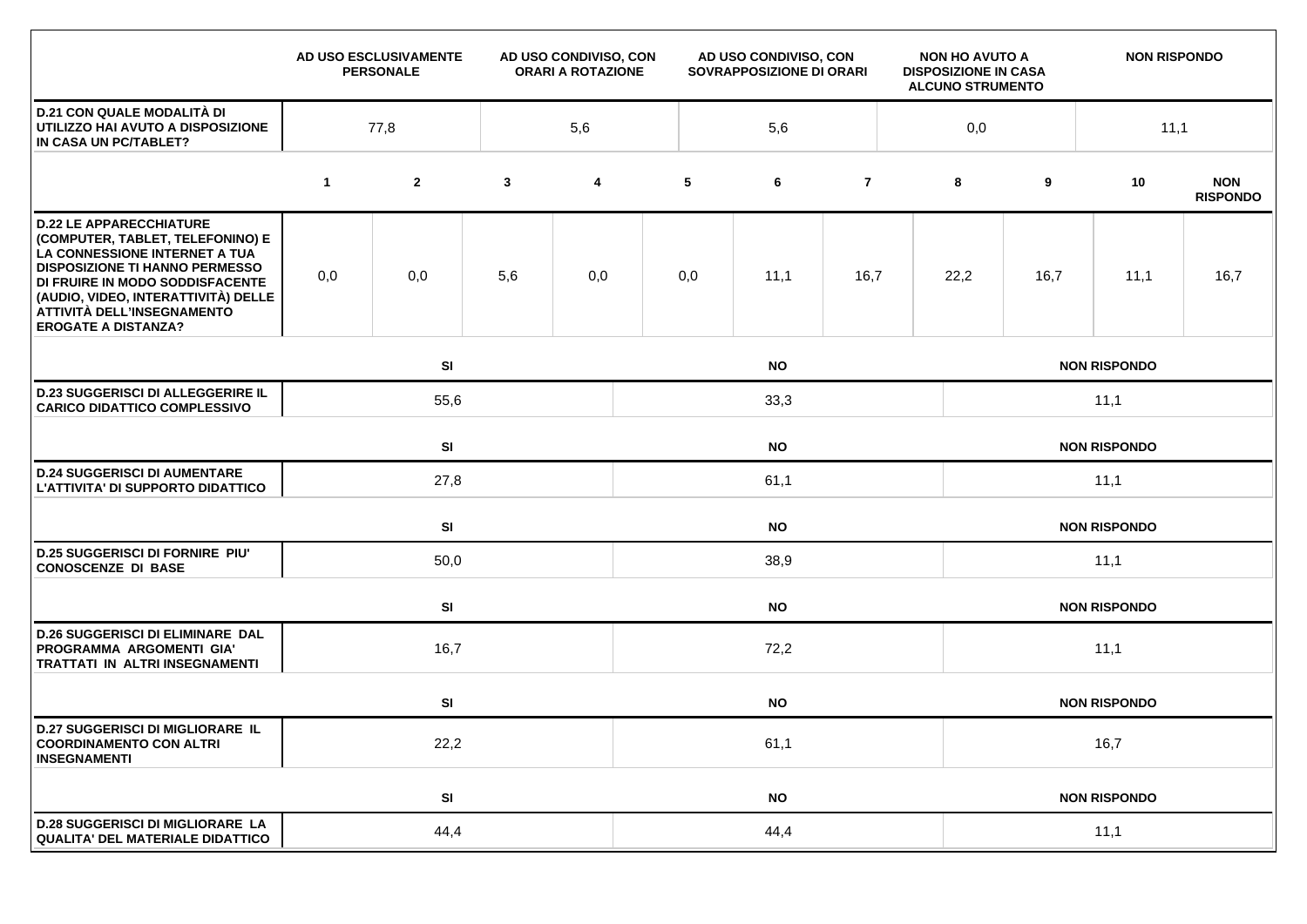|                                                                                                                                                                                                                                                                                    |                 | AD USO ESCLUSIVAMENTE<br><b>PERSONALE</b> | AD USO CONDIVISO, CON<br><b>ORARI A ROTAZIONE</b> |     | AD USO CONDIVISO, CON<br>SOVRAPPOSIZIONE DI ORARI |           |                |              | <b>NON HO AVUTO A</b><br><b>DISPOSIZIONE IN CASA</b><br><b>ALCUNO STRUMENTO</b> |      | <b>NON RISPONDO</b> |                               |  |
|------------------------------------------------------------------------------------------------------------------------------------------------------------------------------------------------------------------------------------------------------------------------------------|-----------------|-------------------------------------------|---------------------------------------------------|-----|---------------------------------------------------|-----------|----------------|--------------|---------------------------------------------------------------------------------|------|---------------------|-------------------------------|--|
| <b>D.21 CON QUALE MODALITÀ DI</b><br>UTILIZZO HAI AVUTO A DISPOSIZIONE<br>IN CASA UN PC/TABLET?                                                                                                                                                                                    | 77,8            |                                           |                                                   | 5,6 |                                                   | 5,6       |                |              | 0,0                                                                             |      | 11,1                |                               |  |
|                                                                                                                                                                                                                                                                                    | $\mathbf 1$     | $\mathbf{2}$                              | $\mathbf{3}$                                      | 4   | 5                                                 | 6         | $\overline{7}$ |              | 8                                                                               | 9    | 10                  | <b>NON</b><br><b>RISPONDO</b> |  |
| <b>D.22 LE APPARECCHIATURE</b><br>(COMPUTER, TABLET, TELEFONINO) E<br>LA CONNESSIONE INTERNET A TUA<br><b>DISPOSIZIONE TI HANNO PERMESSO</b><br>DI FRUIRE IN MODO SODDISFACENTE<br>(AUDIO, VIDEO, INTERATTIVITÀ) DELLE<br>ATTIVITÀ DELL'INSEGNAMENTO<br><b>EROGATE A DISTANZA?</b> | 0,0             | 0,0                                       | 5,6                                               | 0,0 | 0,0                                               | 11,1      | 16,7           |              | 22,2                                                                            | 16,7 | 11,1                | 16,7                          |  |
|                                                                                                                                                                                                                                                                                    |                 | SI<br><b>NO</b>                           |                                                   |     |                                                   |           |                |              |                                                                                 |      | <b>NON RISPONDO</b> |                               |  |
| <b>D.23 SUGGERISCI DI ALLEGGERIRE IL</b><br><b>CARICO DIDATTICO COMPLESSIVO</b>                                                                                                                                                                                                    |                 | 55,6<br>33,3                              |                                                   |     |                                                   |           |                |              | 11,1                                                                            |      |                     |                               |  |
|                                                                                                                                                                                                                                                                                    | SI<br><b>NO</b> |                                           |                                                   |     |                                                   |           |                |              |                                                                                 |      | <b>NON RISPONDO</b> |                               |  |
| <b>D.24 SUGGERISCI DI AUMENTARE</b><br>L'ATTIVITA' DI SUPPORTO DIDATTICO                                                                                                                                                                                                           |                 | 27,8                                      |                                                   |     | 61,1                                              |           |                |              |                                                                                 | 11,1 |                     |                               |  |
|                                                                                                                                                                                                                                                                                    |                 | <b>SI</b><br><b>NO</b>                    |                                                   |     |                                                   |           |                |              |                                                                                 |      | <b>NON RISPONDO</b> |                               |  |
| <b>D.25 SUGGERISCI DI FORNIRE PIU'</b><br><b>CONOSCENZE DI BASE</b>                                                                                                                                                                                                                |                 | 50,0                                      |                                                   |     | 38,9                                              |           |                |              |                                                                                 | 11,1 |                     |                               |  |
|                                                                                                                                                                                                                                                                                    |                 | SI                                        | <b>NO</b>                                         |     |                                                   |           |                |              | <b>NON RISPONDO</b>                                                             |      |                     |                               |  |
| <b>D.26 SUGGERISCI DI ELIMINARE DAL</b><br>PROGRAMMA ARGOMENTI GIA'<br>TRATTATI IN ALTRI INSEGNAMENTI                                                                                                                                                                              |                 | 16,7                                      |                                                   |     |                                                   |           |                | 11,1<br>72,2 |                                                                                 |      |                     |                               |  |
|                                                                                                                                                                                                                                                                                    |                 | SI                                        |                                                   |     |                                                   | <b>NO</b> |                |              |                                                                                 |      | <b>NON RISPONDO</b> |                               |  |
| <b>D.27 SUGGERISCI DI MIGLIORARE IL</b><br><b>COORDINAMENTO CON ALTRI</b><br><b>INSEGNAMENTI</b>                                                                                                                                                                                   |                 | 22,2                                      |                                                   |     | 61,1                                              |           |                |              |                                                                                 | 16,7 |                     |                               |  |
|                                                                                                                                                                                                                                                                                    |                 | SI                                        |                                                   |     | <b>NO</b>                                         |           |                |              | <b>NON RISPONDO</b>                                                             |      |                     |                               |  |
| <b>D.28 SUGGERISCI DI MIGLIORARE LA</b><br><b>QUALITA' DEL MATERIALE DIDATTICO</b>                                                                                                                                                                                                 | 44,4            |                                           |                                                   |     | 44,4                                              |           |                |              |                                                                                 | 11,1 |                     |                               |  |